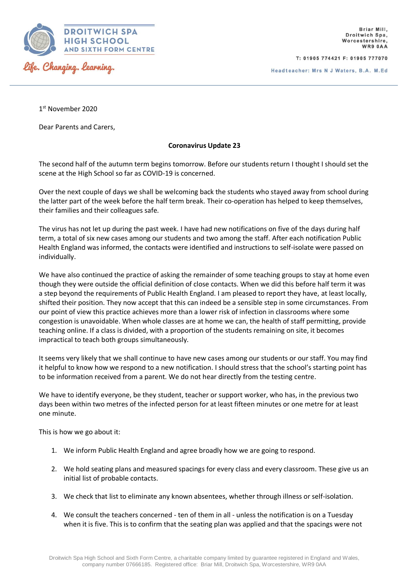

T: 01905 774421 F: 01905 777070

Headteacher: Mrs N J Waters, B.A. M.Ed

1 st November 2020

Dear Parents and Carers,

## **Coronavirus Update 23**

The second half of the autumn term begins tomorrow. Before our students return I thought I should set the scene at the High School so far as COVID-19 is concerned.

Over the next couple of days we shall be welcoming back the students who stayed away from school during the latter part of the week before the half term break. Their co-operation has helped to keep themselves, their families and their colleagues safe.

The virus has not let up during the past week. I have had new notifications on five of the days during half term, a total of six new cases among our students and two among the staff. After each notification Public Health England was informed, the contacts were identified and instructions to self-isolate were passed on individually.

We have also continued the practice of asking the remainder of some teaching groups to stay at home even though they were outside the official definition of close contacts. When we did this before half term it was a step beyond the requirements of Public Health England. I am pleased to report they have, at least locally, shifted their position. They now accept that this can indeed be a sensible step in some circumstances. From our point of view this practice achieves more than a lower risk of infection in classrooms where some congestion is unavoidable. When whole classes are at home we can, the health of staff permitting, provide teaching online. If a class is divided, with a proportion of the students remaining on site, it becomes impractical to teach both groups simultaneously.

It seems very likely that we shall continue to have new cases among our students or our staff. You may find it helpful to know how we respond to a new notification. I should stress that the school's starting point has to be information received from a parent. We do not hear directly from the testing centre.

We have to identify everyone, be they student, teacher or support worker, who has, in the previous two days been within two metres of the infected person for at least fifteen minutes or one metre for at least one minute.

This is how we go about it:

- 1. We inform Public Health England and agree broadly how we are going to respond.
- 2. We hold seating plans and measured spacings for every class and every classroom. These give us an initial list of probable contacts.
- 3. We check that list to eliminate any known absentees, whether through illness or self-isolation.
- 4. We consult the teachers concerned ten of them in all unless the notification is on a Tuesday when it is five. This is to confirm that the seating plan was applied and that the spacings were not